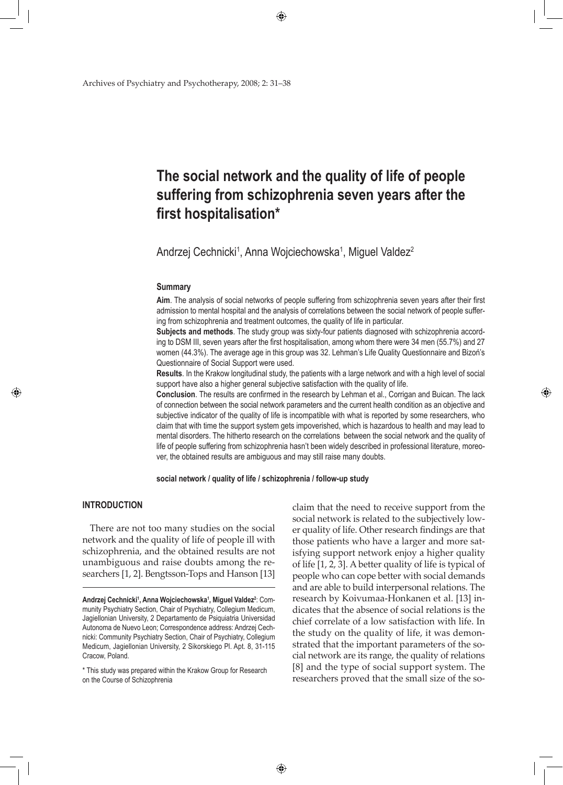Archives of Psychiatry and Psychotherapy, 2008; 2: 31–38

# **The social network and the quality of life of people suffering from schizophrenia seven years after the first hospitalisation\***

Andrzej Cechnicki<sup>1</sup>, Anna Wojciechowska<sup>1</sup>, Miguel Valdez<sup>2</sup>

◈

#### **Summary**

**Aim**. The analysis of social networks of people suffering from schizophrenia seven years after their first admission to mental hospital and the analysis of correlations between the social network of people suffering from schizophrenia and treatment outcomes, the quality of life in particular.

**Subjects and methods**. The study group was sixty-four patients diagnosed with schizophrenia according to DSM III, seven years after the first hospitalisation, among whom there were 34 men (55.7%) and 27 women (44.3%). The average age in this group was 32. Lehman's Life Quality Questionnaire and Bizoń's Questionnaire of Social Support were used.

**Results**. In the Krakow longitudinal study, the patients with a large network and with a high level of social support have also a higher general subjective satisfaction with the quality of life.

**Conclusion**. The results are confirmed in the research by Lehman et al., Corrigan and Buican. The lack of connection between the social network parameters and the current health condition as an objective and subjective indicator of the quality of life is incompatible with what is reported by some researchers, who claim that with time the support system gets impoverished, which is hazardous to health and may lead to mental disorders. The hitherto research on the correlations between the social network and the quality of life of people suffering from schizophrenia hasn't been widely described in professional literature, moreover, the obtained results are ambiguous and may still raise many doubts.

**social network / quality of life / schizophrenia / follow-up study**

## **INTRODUCTION**

◈

There are not too many studies on the social network and the quality of life of people ill with schizophrenia, and the obtained results are not unambiguous and raise doubts among the researchers [1, 2]. Bengtsson-Tops and Hanson [13]

\* This study was prepared within the Krakow Group for Research on the Course of Schizophrenia

claim that the need to receive support from the social network is related to the subjectively lower quality of life. Other research findings are that those patients who have a larger and more satisfying support network enjoy a higher quality of life [1, 2, 3]. A better quality of life is typical of people who can cope better with social demands and are able to build interpersonal relations. The research by Koivumaa-Honkanen et al. [13] indicates that the absence of social relations is the chief correlate of a low satisfaction with life. In the study on the quality of life, it was demonstrated that the important parameters of the social network are its range, the quality of relations [8] and the type of social support system. The researchers proved that the small size of the so-

**Andrzej Cechnicki<sup>1</sup>, Anna Wojciechowska<sup>1</sup>, Miguel Valdez<sup>2</sup>: Com**munity Psychiatry Section, Chair of Psychiatry, Collegium Medicum, Jagiellonian University, 2 Departamento de Psiquiatria Universidad Autonoma de Nuevo Leon; Correspondence address: Andrzej Cechnicki: Community Psychiatry Section, Chair of Psychiatry, Collegium Medicum, Jagiellonian University, 2 Sikorskiego Pl. Apt. 8, 31-115 Cracow, Poland.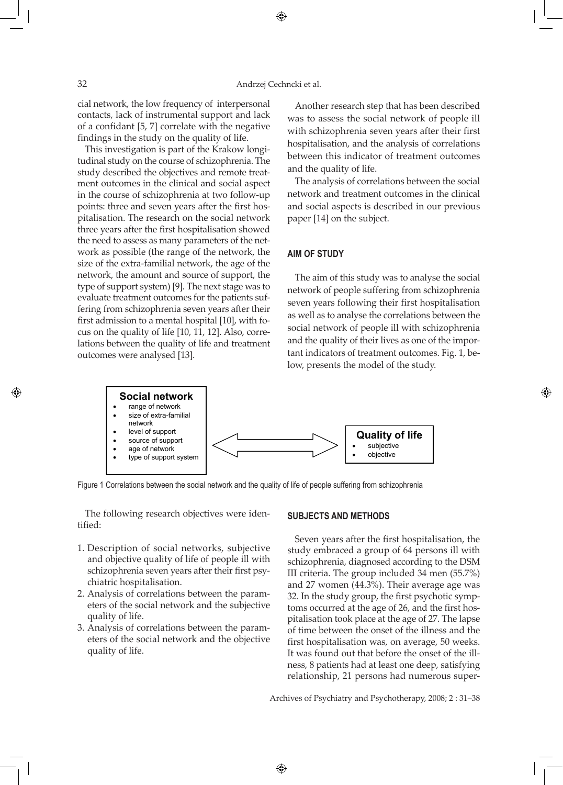cial network, the low frequency of interpersonal contacts, lack of instrumental support and lack of a confidant [5, 7] correlate with the negative findings in the study on the quality of life.

This investigation is part of the Krakow longitudinal study on the course of schizophrenia. The study described the objectives and remote treatment outcomes in the clinical and social aspect in the course of schizophrenia at two follow-up points: three and seven years after the first hospitalisation. The research on the social network three years after the first hospitalisation showed the need to assess as many parameters of the network as possible (the range of the network, the size of the extra-familial network, the age of the network, the amount and source of support, the type of support system) [9]. The next stage was to evaluate treatment outcomes for the patients suffering from schizophrenia seven years after their first admission to a mental hospital [10], with focus on the quality of life [10, 11, 12]. Also, correlations between the quality of life and treatment outcomes were analysed [13].

Another research step that has been described was to assess the social network of people ill with schizophrenia seven years after their first hospitalisation, and the analysis of correlations between this indicator of treatment outcomes and the quality of life.

The analysis of correlations between the social network and treatment outcomes in the clinical and social aspects is described in our previous paper [14] on the subject.

## **Aim of study**

The aim of this study was to analyse the social network of people suffering from schizophrenia seven years following their first hospitalisation as well as to analyse the correlations between the social network of people ill with schizophrenia and the quality of their lives as one of the important indicators of treatment outcomes. Fig. 1, below, presents the model of the study.

◈



↔

Figure 1 Correlations between the social network and the quality of life of people suffering from schizophrenia

The following research objectives were identified:

- 1. Description of social networks, subjective and objective quality of life of people ill with schizophrenia seven years after their first psychiatric hospitalisation.
- 2. Analysis of correlations between the parameters of the social network and the subjective quality of life.
- 3. Analysis of correlations between the parameters of the social network and the objective quality of life.

#### **SUBJECTS AND METHODS**

Seven years after the first hospitalisation, the study embraced a group of 64 persons ill with schizophrenia, diagnosed according to the DSM III criteria. The group included 34 men (55.7%) and 27 women (44.3%). Their average age was 32. In the study group, the first psychotic symptoms occurred at the age of 26, and the first hospitalisation took place at the age of 27. The lapse of time between the onset of the illness and the first hospitalisation was, on average, 50 weeks. It was found out that before the onset of the illness, 8 patients had at least one deep, satisfying relationship, 21 persons had numerous super-

Archives of Psychiatry and Psychotherapy, 2008; 2 : 31–38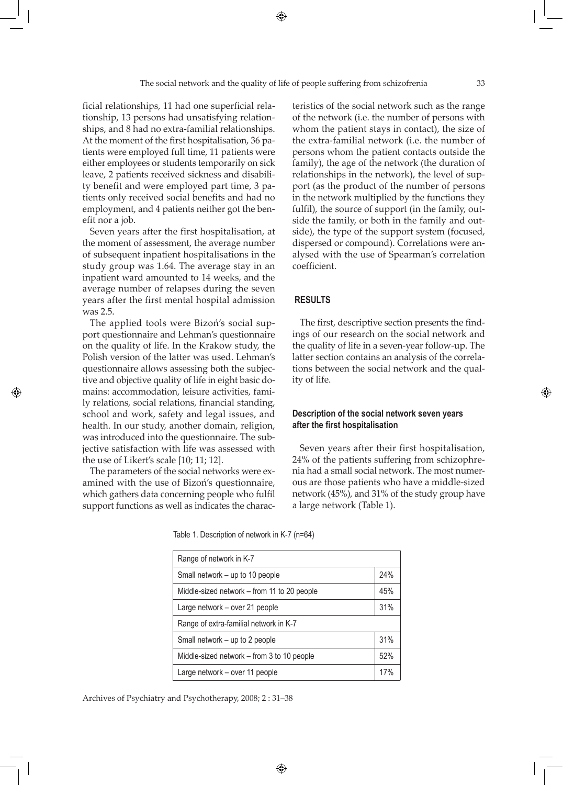ficial relationships, 11 had one superficial relationship, 13 persons had unsatisfying relationships, and 8 had no extra-familial relationships. At the moment of the first hospitalisation, 36 patients were employed full time, 11 patients were either employees or students temporarily on sick leave, 2 patients received sickness and disability benefit and were employed part time, 3 patients only received social benefits and had no employment, and 4 patients neither got the benefit nor a job.

Seven years after the first hospitalisation, at the moment of assessment, the average number of subsequent inpatient hospitalisations in the study group was 1.64. The average stay in an inpatient ward amounted to 14 weeks, and the average number of relapses during the seven years after the first mental hospital admission was 2.5.

The applied tools were Bizoń's social support questionnaire and Lehman's questionnaire on the quality of life. In the Krakow study, the Polish version of the latter was used. Lehman's questionnaire allows assessing both the subjective and objective quality of life in eight basic domains: accommodation, leisure activities, family relations, social relations, financial standing, school and work, safety and legal issues, and health. In our study, another domain, religion, was introduced into the questionnaire. The subjective satisfaction with life was assessed with the use of Likert's scale [10; 11; 12].

◈

The parameters of the social networks were examined with the use of Bizoń's questionnaire, which gathers data concerning people who fulfil support functions as well as indicates the characteristics of the social network such as the range of the network (i.e. the number of persons with whom the patient stays in contact), the size of the extra-familial network (i.e. the number of persons whom the patient contacts outside the family), the age of the network (the duration of relationships in the network), the level of support (as the product of the number of persons in the network multiplied by the functions they fulfil), the source of support (in the family, outside the family, or both in the family and outside), the type of the support system (focused, dispersed or compound). Correlations were analysed with the use of Spearman's correlation coefficient.

## **RESULTS**

The first, descriptive section presents the findings of our research on the social network and the quality of life in a seven-year follow-up. The latter section contains an analysis of the correlations between the social network and the quality of life.

#### **Description of the social network seven years after the first hospitalisation**

Seven years after their first hospitalisation, 24% of the patients suffering from schizophrenia had a small social network. The most numerous are those patients who have a middle-sized network (45%), and 31% of the study group have a large network (Table 1).

Table 1. Description of network in K-7 (n=64)

| Range of network in K-7                     |     |  |  |  |  |
|---------------------------------------------|-----|--|--|--|--|
| Small network – up to 10 people             |     |  |  |  |  |
| Middle-sized network – from 11 to 20 people | 45% |  |  |  |  |
| Large network - over 21 people              | 31% |  |  |  |  |
| Range of extra-familial network in K-7      |     |  |  |  |  |
| Small network – up to 2 people              | 31% |  |  |  |  |
| Middle-sized network – from 3 to 10 people  | 52% |  |  |  |  |
| Large network - over 11 people              | 17% |  |  |  |  |

Archives of Psychiatry and Psychotherapy, 2008; 2 : 31–38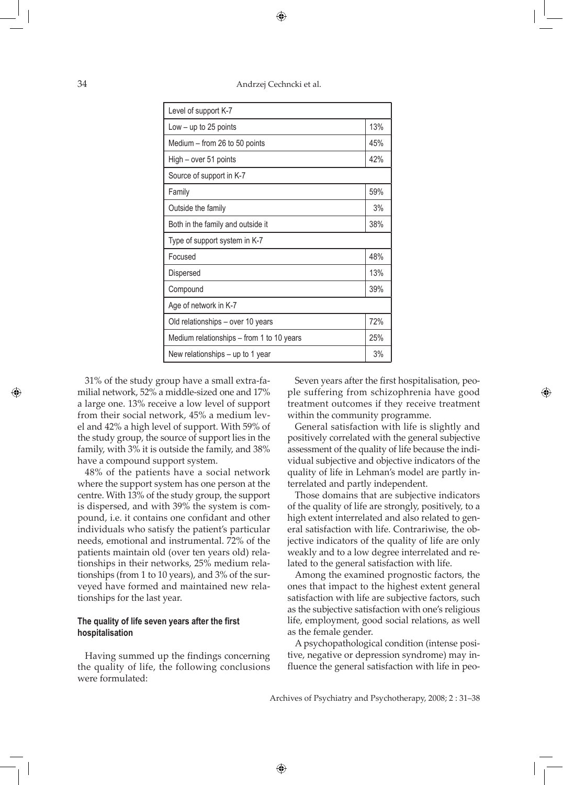34 Andrzej Cechncki et al.

| Level of support K-7          |  |  |  |  |  |
|-------------------------------|--|--|--|--|--|
| 13%                           |  |  |  |  |  |
| 45%                           |  |  |  |  |  |
| 42%                           |  |  |  |  |  |
| Source of support in K-7      |  |  |  |  |  |
| 59%                           |  |  |  |  |  |
| 3%                            |  |  |  |  |  |
| 38%                           |  |  |  |  |  |
| Type of support system in K-7 |  |  |  |  |  |
| 48%                           |  |  |  |  |  |
| 13%                           |  |  |  |  |  |
| 39%                           |  |  |  |  |  |
|                               |  |  |  |  |  |
| 72%                           |  |  |  |  |  |
| 25%                           |  |  |  |  |  |
| 3%                            |  |  |  |  |  |
|                               |  |  |  |  |  |

31% of the study group have a small extra-familial network, 52% a middle-sized one and 17% a large one. 13% receive a low level of support from their social network, 45% a medium level and 42% a high level of support. With 59% of the study group, the source of support lies in the family, with 3% it is outside the family, and 38% have a compound support system.

◈

48% of the patients have a social network where the support system has one person at the centre. With 13% of the study group, the support is dispersed, and with 39% the system is compound, i.e. it contains one confidant and other individuals who satisfy the patient's particular needs, emotional and instrumental. 72% of the patients maintain old (over ten years old) relationships in their networks, 25% medium relationships (from 1 to 10 years), and 3% of the surveyed have formed and maintained new relationships for the last year.

## **The quality of life seven years after the first hospitalisation**

Having summed up the findings concerning the quality of life, the following conclusions were formulated:

Seven years after the first hospitalisation, people suffering from schizophrenia have good treatment outcomes if they receive treatment within the community programme.

◈

General satisfaction with life is slightly and positively correlated with the general subjective assessment of the quality of life because the individual subjective and objective indicators of the quality of life in Lehman's model are partly interrelated and partly independent.

Those domains that are subjective indicators of the quality of life are strongly, positively, to a high extent interrelated and also related to general satisfaction with life. Contrariwise, the objective indicators of the quality of life are only weakly and to a low degree interrelated and related to the general satisfaction with life.

Among the examined prognostic factors, the ones that impact to the highest extent general satisfaction with life are subjective factors, such as the subjective satisfaction with one's religious life, employment, good social relations, as well as the female gender.

A psychopathological condition (intense positive, negative or depression syndrome) may influence the general satisfaction with life in peo-

Archives of Psychiatry and Psychotherapy, 2008; 2 : 31–38

↔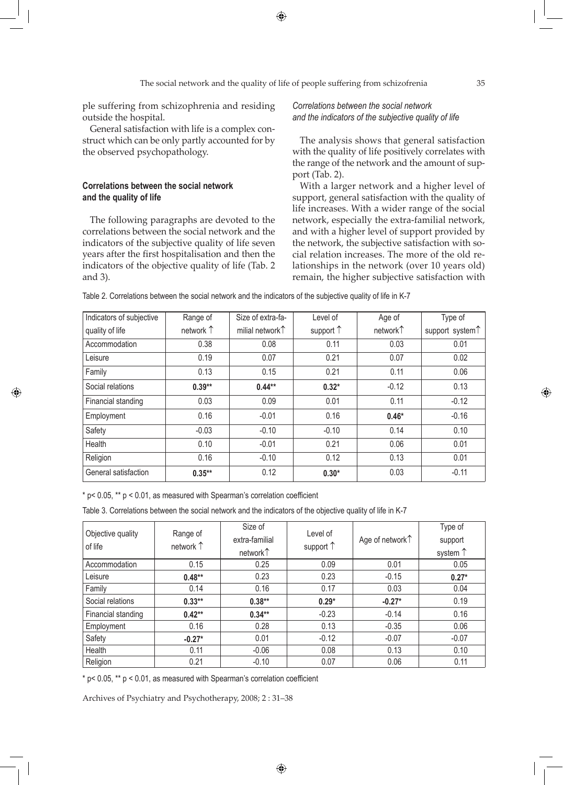ple suffering from schizophrenia and residing outside the hospital.

General satisfaction with life is a complex construct which can be only partly accounted for by the observed psychopathology.

## **Correlations between the social network and the quality of life**

◈

The following paragraphs are devoted to the correlations between the social network and the indicators of the subjective quality of life seven years after the first hospitalisation and then the indicators of the objective quality of life (Tab. 2 and 3).

*Correlations between the social network and the indicators of the subjective quality of life* 

The analysis shows that general satisfaction with the quality of life positively correlates with the range of the network and the amount of support (Tab. 2).

With a larger network and a higher level of support, general satisfaction with the quality of life increases. With a wider range of the social network, especially the extra-familial network, and with a higher level of support provided by the network, the subjective satisfaction with social relation increases. The more of the old relationships in the network (over 10 years old) remain, the higher subjective satisfaction with

| Table 2. Correlations between the social network and the indicators of the subjective quality of life in K-7 |  |
|--------------------------------------------------------------------------------------------------------------|--|
|--------------------------------------------------------------------------------------------------------------|--|

| Indicators of subjective | Range of  | Size of extra-fa-           | Level of           | Age of   | Type of                     |
|--------------------------|-----------|-----------------------------|--------------------|----------|-----------------------------|
| quality of life          | network 1 | milial network <sup>1</sup> | support $\uparrow$ | network↑ | support system <sup>1</sup> |
| Accommodation            | 0.38      | 0.08                        | 0.11               | 0.03     | 0.01                        |
| Leisure                  | 0.19      | 0.07                        | 0.21               | 0.07     | 0.02                        |
| Family                   | 0.13      | 0.15                        | 0.21               | 0.11     | 0.06                        |
| Social relations         | $0.39**$  | $0.44***$                   | $0.32*$            | $-0.12$  | 0.13                        |
| Financial standing       | 0.03      | 0.09                        | 0.01               | 0.11     | $-0.12$                     |
| Employment               | 0.16      | $-0.01$                     | 0.16               | $0.46*$  | $-0.16$                     |
| Safety                   | $-0.03$   | $-0.10$                     | $-0.10$            | 0.14     | 0.10                        |
| Health                   | 0.10      | $-0.01$                     | 0.21               | 0.06     | 0.01                        |
| Religion                 | 0.16      | $-0.10$                     | 0.12               | 0.13     | 0.01                        |
| General satisfaction     | $0.35***$ | 0.12                        | $0.30*$            | 0.03     | $-0.11$                     |

 $*$  p< 0.05,  $**$  p < 0.01, as measured with Spearman's correlation coefficient

Table 3. Correlations between the social network and the indicators of the objective quality of life in K-7

| Objective quality<br>of life | Range of<br>network 1 | Size of<br>extra-familial | Level of<br>support $\uparrow$ | Age of network 1 | Type of<br>support |
|------------------------------|-----------------------|---------------------------|--------------------------------|------------------|--------------------|
|                              |                       | network↑                  |                                |                  | system $\uparrow$  |
| Accommodation                | 0.15                  | 0.25                      | 0.09                           | 0.01             | 0.05               |
| Leisure                      | $0.48**$              | 0.23                      | 0.23                           | $-0.15$          | $0.27*$            |
| Family                       | 0.14                  | 0.16                      | 0.17                           | 0.03             | 0.04               |
| Social relations             | $0.33**$              | $0.38**$                  | $0.29*$                        | $-0.27*$         | 0.19               |
| Financial standing           | $0.42**$              | $0.34***$                 | $-0.23$                        | $-0.14$          | 0.16               |
| Employment                   | 0.16                  | 0.28                      | 0.13                           | $-0.35$          | 0.06               |
| Safety                       | $-0.27*$              | 0.01                      | $-0.12$                        | $-0.07$          | $-0.07$            |
| Health                       | 0.11                  | $-0.06$                   | 0.08                           | 0.13             | 0.10               |
| Religion                     | 0.21                  | $-0.10$                   | 0.07                           | 0.06             | 0.11               |

 $*$  p< 0.05,  $**$  p < 0.01, as measured with Spearman's correlation coefficient

Archives of Psychiatry and Psychotherapy, 2008; 2 : 31–38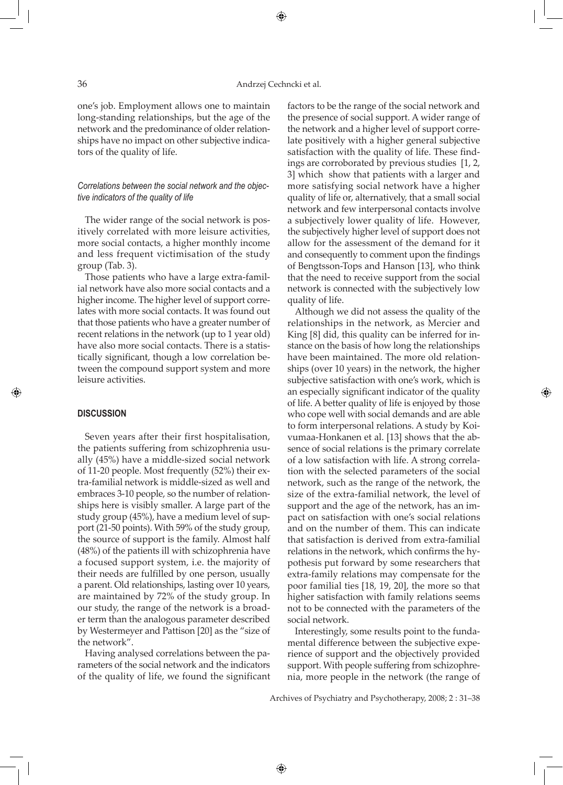#### 36 Andrzej Cechncki et al.

⊕

one's job. Employment allows one to maintain long-standing relationships, but the age of the network and the predominance of older relationships have no impact on other subjective indicators of the quality of life.

## *Correlations between the social network and the objective indicators of the quality of life*

The wider range of the social network is positively correlated with more leisure activities, more social contacts, a higher monthly income and less frequent victimisation of the study group (Tab. 3).

Those patients who have a large extra-familial network have also more social contacts and a higher income. The higher level of support correlates with more social contacts. It was found out that those patients who have a greater number of recent relations in the network (up to 1 year old) have also more social contacts. There is a statistically significant, though a low correlation between the compound support system and more leisure activities.

#### **DISCUSSION**

◈

Seven years after their first hospitalisation, the patients suffering from schizophrenia usually (45%) have a middle-sized social network of 11-20 people. Most frequently (52%) their extra-familial network is middle-sized as well and embraces 3-10 people, so the number of relationships here is visibly smaller. A large part of the study group (45%), have a medium level of support (21-50 points). With 59% of the study group, the source of support is the family. Almost half (48%) of the patients ill with schizophrenia have a focused support system, i.e. the majority of their needs are fulfilled by one person, usually a parent. Old relationships, lasting over 10 years, are maintained by 72% of the study group. In our study, the range of the network is a broader term than the analogous parameter described by Westermeyer and Pattison [20] as the "size of the network".

Having analysed correlations between the parameters of the social network and the indicators of the quality of life, we found the significant factors to be the range of the social network and the presence of social support. A wider range of the network and a higher level of support correlate positively with a higher general subjective satisfaction with the quality of life. These findings are corroborated by previous studies [1, 2, 3] which show that patients with a larger and more satisfying social network have a higher quality of life or, alternatively, that a small social network and few interpersonal contacts involve a subjectively lower quality of life. However, the subjectively higher level of support does not allow for the assessment of the demand for it and consequently to comment upon the findings of Bengtsson-Tops and Hanson [13], who think that the need to receive support from the social network is connected with the subjectively low quality of life.

Although we did not assess the quality of the relationships in the network, as Mercier and King [8] did, this quality can be inferred for instance on the basis of how long the relationships have been maintained. The more old relationships (over 10 years) in the network, the higher subjective satisfaction with one's work, which is an especially significant indicator of the quality of life. A better quality of life is enjoyed by those who cope well with social demands and are able to form interpersonal relations. A study by Koivumaa-Honkanen et al. [13] shows that the absence of social relations is the primary correlate of a low satisfaction with life. A strong correlation with the selected parameters of the social network, such as the range of the network, the size of the extra-familial network, the level of support and the age of the network, has an impact on satisfaction with one's social relations and on the number of them. This can indicate that satisfaction is derived from extra-familial relations in the network, which confirms the hypothesis put forward by some researchers that extra-family relations may compensate for the poor familial ties [18, 19, 20], the more so that higher satisfaction with family relations seems not to be connected with the parameters of the social network.

◈

Interestingly, some results point to the fundamental difference between the subjective experience of support and the objectively provided support. With people suffering from schizophrenia, more people in the network (the range of

Archives of Psychiatry and Psychotherapy, 2008; 2 : 31–38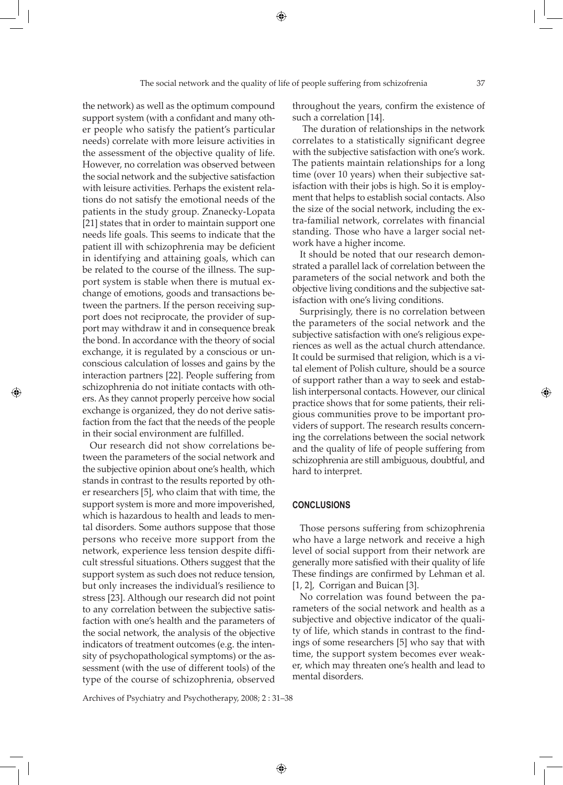the network) as well as the optimum compound support system (with a confidant and many other people who satisfy the patient's particular needs) correlate with more leisure activities in the assessment of the objective quality of life. However, no correlation was observed between the social network and the subjective satisfaction with leisure activities. Perhaps the existent relations do not satisfy the emotional needs of the patients in the study group. Znanecky-Lopata [21] states that in order to maintain support one needs life goals. This seems to indicate that the patient ill with schizophrenia may be deficient in identifying and attaining goals, which can be related to the course of the illness. The support system is stable when there is mutual exchange of emotions, goods and transactions between the partners. If the person receiving support does not reciprocate, the provider of support may withdraw it and in consequence break the bond. In accordance with the theory of social exchange, it is regulated by a conscious or unconscious calculation of losses and gains by the interaction partners [22]. People suffering from schizophrenia do not initiate contacts with others. As they cannot properly perceive how social exchange is organized, they do not derive satisfaction from the fact that the needs of the people in their social environment are fulfilled.

◈

Our research did not show correlations between the parameters of the social network and the subjective opinion about one's health, which stands in contrast to the results reported by other researchers [5], who claim that with time, the support system is more and more impoverished, which is hazardous to health and leads to mental disorders. Some authors suppose that those persons who receive more support from the network, experience less tension despite difficult stressful situations. Others suggest that the support system as such does not reduce tension, but only increases the individual's resilience to stress [23]. Although our research did not point to any correlation between the subjective satisfaction with one's health and the parameters of the social network, the analysis of the objective indicators of treatment outcomes (e.g. the intensity of psychopathological symptoms) or the assessment (with the use of different tools) of the type of the course of schizophrenia, observed

Archives of Psychiatry and Psychotherapy, 2008; 2 : 31–38

throughout the years, confirm the existence of such a correlation [14].

 The duration of relationships in the network correlates to a statistically significant degree with the subjective satisfaction with one's work. The patients maintain relationships for a long time (over 10 years) when their subjective satisfaction with their jobs is high. So it is employment that helps to establish social contacts. Also the size of the social network, including the extra-familial network, correlates with financial standing. Those who have a larger social network have a higher income.

It should be noted that our research demonstrated a parallel lack of correlation between the parameters of the social network and both the objective living conditions and the subjective satisfaction with one's living conditions.

Surprisingly, there is no correlation between the parameters of the social network and the subjective satisfaction with one's religious experiences as well as the actual church attendance. It could be surmised that religion, which is a vital element of Polish culture, should be a source of support rather than a way to seek and establish interpersonal contacts. However, our clinical practice shows that for some patients, their religious communities prove to be important providers of support. The research results concerning the correlations between the social network and the quality of life of people suffering from schizophrenia are still ambiguous, doubtful, and hard to interpret.

#### **CONCLUSIONS**

◈

Those persons suffering from schizophrenia who have a large network and receive a high level of social support from their network are generally more satisfied with their quality of life These findings are confirmed by Lehman et al. [1, 2], Corrigan and Buican [3].

No correlation was found between the parameters of the social network and health as a subjective and objective indicator of the quality of life, which stands in contrast to the findings of some researchers [5] who say that with time, the support system becomes ever weaker, which may threaten one's health and lead to mental disorders.